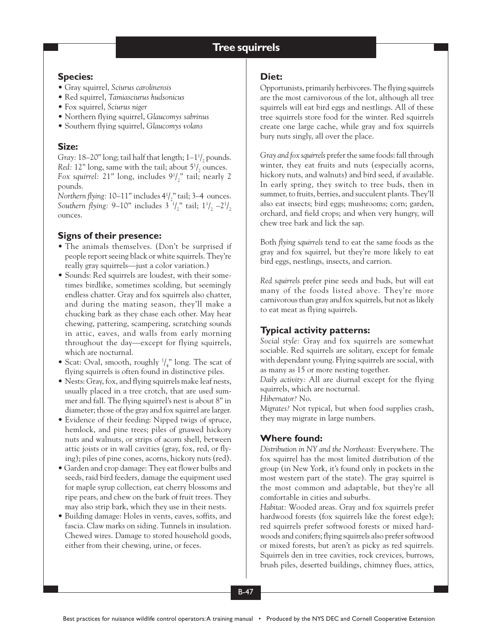# **Tree squirrels Tree squirrels**

## **Species:**

- Gray squirrel, *Sciurus carolinensis*
- Red squirrel, *Tamiasciurus hudsonicus*
- Fox squirrel, *Sciurus niger*
- Northern flying squirrel, *Glaucomys sabrinus*
- Southern flying squirrel, *Glaucomys volans*

# **Size:**

Gray: 18–20" long; tail half that length; 1–1<sup>1</sup>/<sub>2</sub> pounds. *Red:* 12" long, same with the tail; about  $5\frac{1}{2}$  ounces. Fox squirrel:  $21"$  long, includes  $9' / \frac{1}{2"}$  tail; nearly 2 pounds.

Northern flying: 10–11" includes 4<sup>1</sup>/<sub>2</sub>" tail; 3–4 ounces. Southern flying:  $9-10$ " includes  $3 \frac{1}{2}$ " tail;  $1\frac{1}{2}$   $-2\frac{1}{2}$ ounces.

# **Signs of their presence:**

- The animals themselves. (Don't be surprised if people report seeing black or white squirrels. They're really gray squirrels—just a color variation.)
- Sounds: Red squirrels are loudest, with their sometimes birdlike, sometimes scolding, but seemingly endless chatter. Gray and fox squirrels also chatter, and during the mating season, they'll make a chucking bark as they chase each other. May hear chewing, pattering, scampering, scratching sounds in attic, eaves, and walls from early morning throughout the day—except for flying squirrels, which are nocturnal.
- Scat: Oval, smooth, roughly  $\frac{1}{4}$ " long. The scat of flying squirrels is often found in distinctive piles.
- Nests: Gray, fox, and flying squirrels make leaf nests, usually placed in a tree crotch, that are used summer and fall. The flying squirrel's nest is about 8" in diameter; those of the gray and fox squirrel are larger.
- Evidence of their feeding: Nipped twigs of spruce, hemlock, and pine trees; piles of gnawed hickory nuts and walnuts, or strips of acorn shell, between attic joists or in wall cavities (gray, fox, red, or flying); piles of pine cones, acorns, hickory nuts (red).
- Garden and crop damage: They eat flower bulbs and seeds, raid bird feeders, damage the equipment used for maple syrup collection, eat cherry blossoms and ripe pears, and chew on the bark of fruit trees. They may also strip bark, which they use in their nests.
- Building damage: Holes in vents, eaves, soffits, and fascia. Claw marks on siding. Tunnels in insulation. Chewed wires. Damage to stored household goods, either from their chewing, urine, or feces.

# **Diet:**

Opportunists, primarily herbivores. The flying squirrels are the most carnivorous of the lot, although all tree squirrels will eat bird eggs and nestlings. All of these tree squirrels store food for the winter. Red squirrels create one large cache, while gray and fox squirrels bury nuts singly, all over the place.

*Gray and fox squirrels* prefer the same foods: fall through winter, they eat fruits and nuts (especially acorns, hickory nuts, and walnuts) and bird seed, if available. In early spring, they switch to tree buds, then in summer, to fruits, berries, and succulent plants. They'll also eat insects; bird eggs; mushrooms; corn; garden, orchard, and field crops; and when very hungry, will chew tree bark and lick the sap.

Both *flying squirrels* tend to eat the same foods as the gray and fox squirrel, but they're more likely to eat bird eggs, nestlings, insects, and carrion.

*Red squirrels* prefer pine seeds and buds, but will eat many of the foods listed above. They're more carnivorous than gray and fox squirrels, but not as likely to eat meat as flying squirrels.

# **Typical activity patterns:**

*Social style:* Gray and fox squirrels are somewhat sociable. Red squirrels are solitary, except for female with dependant young. Flying squirrels are social, with as many as 15 or more nesting together.

*Daily activity:* All are diurnal except for the flying squirrels, which are nocturnal.

*Hibernator?* No.

*Migrates?* Not typical, but when food supplies crash, they may migrate in large numbers.

# **Where found:**

*Distribution in NY and the Northeast:* Everywhere. The fox squirrel has the most limited distribution of the group (in New York, it's found only in pockets in the most western part of the state). The gray squirrel is the most common and adaptable, but they're all comfortable in cities and suburbs.

*Habitat:* Wooded areas. Gray and fox squirrels prefer hardwood forests (fox squirrels like the forest edge); red squirrels prefer softwood forests or mixed hardwoods and conifers; flying squirrels also prefer softwood or mixed forests, but aren't as picky as red squirrels. Squirrels den in tree cavities, rock crevices, burrows, brush piles, deserted buildings, chimney flues, attics,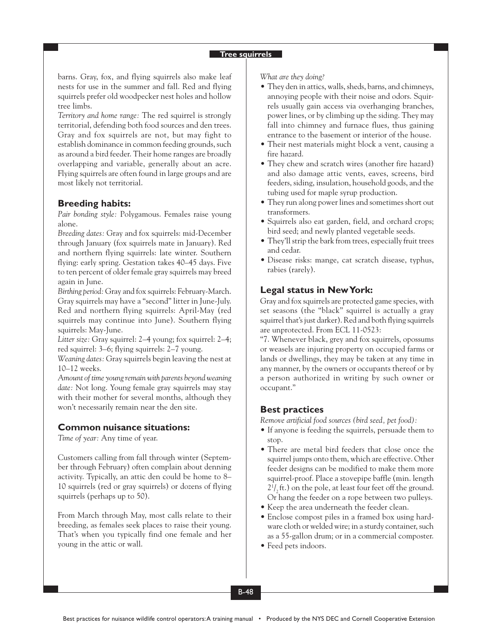#### **Tree squirrels**

barns. Gray, fox, and flying squirrels also make leaf nests for use in the summer and fall. Red and flying squirrels prefer old woodpecker nest holes and hollow tree limbs.

*Territory and home range:* The red squirrel is strongly territorial, defending both food sources and den trees. Gray and fox squirrels are not, but may fight to establish dominance in common feeding grounds, such as around a bird feeder. Their home ranges are broadly overlapping and variable, generally about an acre. Flying squirrels are often found in large groups and are most likely not territorial.

# **Breeding habits:**

*Pair bonding style:* Polygamous. Females raise young alone.

*Breeding dates:* Gray and fox squirrels: mid-December through January (fox squirrels mate in January). Red and northern flying squirrels: late winter. Southern flying: early spring. Gestation takes 40–45 days. Five to ten percent of older female gray squirrels may breed again in June.

*Birthing period:* Gray and fox squirrels: February-March. Gray squirrels may have a "second" litter in June-July. Red and northern flying squirrels: April-May (red squirrels may continue into June). Southern flying squirrels: May-June.

*Litter size:* Gray squirrel: 2–4 young; fox squirrel: 2–4; red squirrel: 3–6; flying squirrels: 2–7 young.

*Weaning dates:* Gray squirrels begin leaving the nest at 10–12 weeks.

*Amount of time young remain with parents beyond weaning date:* Not long. Young female gray squirrels may stay with their mother for several months, although they won't necessarily remain near the den site.

### **Common nuisance situations:**

*Time of year:* Any time of year.

Customers calling from fall through winter (September through February) often complain about denning activity. Typically, an attic den could be home to 8– 10 squirrels (red or gray squirrels) or dozens of flying squirrels (perhaps up to 50).

From March through May, most calls relate to their breeding, as females seek places to raise their young. That's when you typically find one female and her young in the attic or wall.

*What are they doing?*

- They den in attics, walls, sheds, barns, and chimneys, annoying people with their noise and odors. Squirrels usually gain access via overhanging branches, power lines, or by climbing up the siding. They may fall into chimney and furnace flues, thus gaining entrance to the basement or interior of the house.
- Their nest materials might block a vent, causing a fire hazard.
- They chew and scratch wires (another fire hazard) and also damage attic vents, eaves, screens, bird feeders, siding, insulation, household goods, and the tubing used for maple syrup production.
- They run along power lines and sometimes short out transformers.
- Squirrels also eat garden, field, and orchard crops; bird seed; and newly planted vegetable seeds.
- They'll strip the bark from trees, especially fruit trees and cedar.
- Disease risks: mange, cat scratch disease, typhus, rabies (rarely).

# **Legal status in New York:**

Gray and fox squirrels are protected game species, with set seasons (the "black" squirrel is actually a gray squirrel that's just darker). Red and both flying squirrels are unprotected. From ECL 11-0523:

"7. Whenever black, grey and fox squirrels, opossums or weasels are injuring property on occupied farms or lands or dwellings, they may be taken at any time in any manner, by the owners or occupants thereof or by a person authorized in writing by such owner or occupant."

#### **Best practices**

*Remove artificial food sources (bird seed, pet food):*

- If anyone is feeding the squirrels, persuade them to stop.
- There are metal bird feeders that close once the squirrel jumps onto them, which are effective. Other feeder designs can be modified to make them more squirrel-proof. Place a stovepipe baffle (min. length  $2^{1/2}$ ft.) on the pole, at least four feet off the ground. Or hang the feeder on a rope between two pulleys.
- Keep the area underneath the feeder clean.
- Enclose compost piles in a framed box using hardware cloth or welded wire; in a sturdy container, such as a 55-gallon drum; or in a commercial composter.
- Feed pets indoors.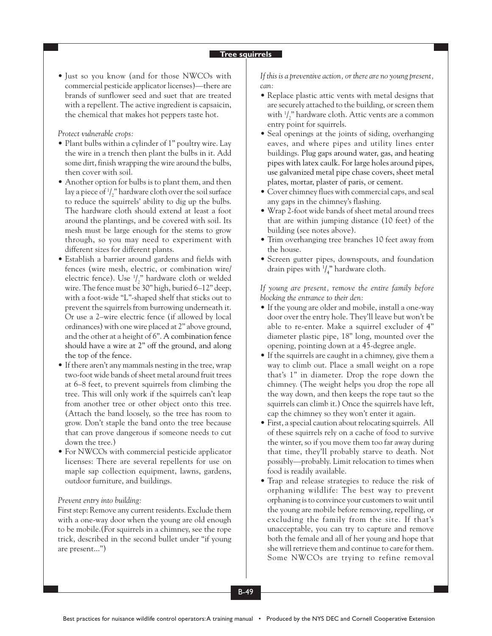#### **Tree squirrels**

• Just so you know (and for those NWCOs with commercial pesticide applicator licenses)—there are brands of sunflower seed and suet that are treated with a repellent. The active ingredient is capsaicin, the chemical that makes hot peppers taste hot.

*Protect vulnerable crops:*

- Plant bulbs within a cylinder of 1" poultry wire. Lay the wire in a trench then plant the bulbs in it. Add some dirt, finish wrapping the wire around the bulbs, then cover with soil.
- Another option for bulbs is to plant them, and then lay a piece of  $\frac{1}{2}$ " hardware cloth over the soil surface to reduce the squirrels' ability to dig up the bulbs. The hardware cloth should extend at least a foot around the plantings, and be covered with soil. Its mesh must be large enough for the stems to grow through, so you may need to experiment with different sizes for different plants.
- Establish a barrier around gardens and fields with fences (wire mesh, electric, or combination wire/ electric fence). Use  $\frac{1}{2}$ " hardware cloth or welded wire. The fence must be 30" high, buried 6–12" deep, with a foot-wide "L"-shaped shelf that sticks out to prevent the squirrels from burrowing underneath it. Or use a 2–wire electric fence (if allowed by local ordinances) with one wire placed at 2" above ground, and the other at a height of 6". A combination fence should have a wire at 2" off the ground, and along the top of the fence.
- If there aren't any mammals nesting in the tree, wrap two-foot wide bands of sheet metal around fruit trees at 6–8 feet, to prevent squirrels from climbing the tree. This will only work if the squirrels can't leap from another tree or other object onto this tree. (Attach the band loosely, so the tree has room to grow. Don't staple the band onto the tree because that can prove dangerous if someone needs to cut down the tree.)
- For NWCOs with commercial pesticide applicator licenses: There are several repellents for use on maple sap collection equipment, lawns, gardens, outdoor furniture, and buildings.

#### *Prevent entry into building:*

First step: Remove any current residents. Exclude them with a one-way door when the young are old enough to be mobile.(For squirrels in a chimney, see the rope trick, described in the second bullet under "if young are present...")

*If this is a preventive action, or there are no young present, can:*

- Replace plastic attic vents with metal designs that are securely attached to the building, or screen them with  $\frac{1}{2}$ " hardware cloth. Attic vents are a common entry point for squirrels.
- Seal openings at the joints of siding, overhanging eaves, and where pipes and utility lines enter buildings. Plug gaps around water, gas, and heating pipes with latex caulk. For large holes around pipes, use galvanized metal pipe chase covers, sheet metal plates, mortar, plaster of paris, or cement.
- Cover chimney flues with commercial caps, and seal any gaps in the chimney's flashing.
- Wrap 2-foot wide bands of sheet metal around trees that are within jumping distance (10 feet) of the building (see notes above).
- Trim overhanging tree branches 10 feet away from the house.
- Screen gutter pipes, downspouts, and foundation drain pipes with  $\frac{1}{4}$ " hardware cloth.

*If young are present, remove the entire family before blocking the entrance to their den:*

- If the young are older and mobile, install a one-way door over the entry hole. They'll leave but won't be able to re-enter. Make a squirrel excluder of 4" diameter plastic pipe, 18" long, mounted over the opening, pointing down at a 45-degree angle.
- If the squirrels are caught in a chimney, give them a way to climb out. Place a small weight on a rope that's 1" in diameter. Drop the rope down the chimney. (The weight helps you drop the rope all the way down, and then keeps the rope taut so the squirrels can climb it.) Once the squirrels have left, cap the chimney so they won't enter it again.
- First, a special caution about relocating squirrels. All of these squirrels rely on a cache of food to survive the winter, so if you move them too far away during that time, they'll probably starve to death. Not possibly—probably. Limit relocation to times when food is readily available.
- Trap and release strategies to reduce the risk of orphaning wildlife: The best way to prevent orphaning is to convince your customers to wait until the young are mobile before removing, repelling, or excluding the family from the site. If that's unacceptable, you can try to capture and remove both the female and all of her young and hope that she will retrieve them and continue to care for them. Some NWCOs are trying to refine removal